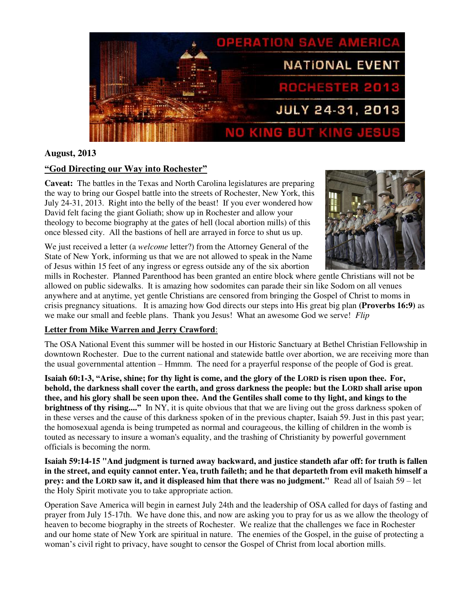

# **August, 2013**

# **"God Directing our Way into Rochester"**

**Caveat:** The battles in the Texas and North Carolina legislatures are preparing the way to bring our Gospel battle into the streets of Rochester, New York, this July 24-31, 2013. Right into the belly of the beast! If you ever wondered how David felt facing the giant Goliath; show up in Rochester and allow your theology to become biography at the gates of hell (local abortion mills) of this once blessed city. All the bastions of hell are arrayed in force to shut us up.

We just received a letter (a *welcome* letter?) from the Attorney General of the State of New York, informing us that we are not allowed to speak in the Name of Jesus within 15 feet of any ingress or egress outside any of the six abortion



mills in Rochester. Planned Parenthood has been granted an entire block where gentle Christians will not be allowed on public sidewalks. It is amazing how sodomites can parade their sin like Sodom on all venues anywhere and at anytime, yet gentle Christians are censored from bringing the Gospel of Christ to moms in crisis pregnancy situations. It is amazing how God directs our steps into His great big plan **(Proverbs 16:9)** as we make our small and feeble plans. Thank you Jesus! What an awesome God we serve! *Flip* 

# **Letter from Mike Warren and Jerry Crawford**:

The OSA National Event this summer will be hosted in our Historic Sanctuary at Bethel Christian Fellowship in downtown Rochester. Due to the current national and statewide battle over abortion, we are receiving more than the usual governmental attention – Hmmm. The need for a prayerful response of the people of God is great.

**Isaiah 60:1-3, "Arise, shine; for thy light is come, and the glory of the LORD is risen upon thee. For, behold, the darkness shall cover the earth, and gross darkness the people: but the LORD shall arise upon thee, and his glory shall be seen upon thee. And the Gentiles shall come to thy light, and kings to the brightness of thy rising...."** In NY, it is quite obvious that that we are living out the gross darkness spoken of in these verses and the cause of this darkness spoken of in the previous chapter, Isaiah 59. Just in this past year; the homosexual agenda is being trumpeted as normal and courageous, the killing of children in the womb is touted as necessary to insure a woman's equality, and the trashing of Christianity by powerful government officials is becoming the norm.

**Isaiah 59:14-15 "And judgment is turned away backward, and justice standeth afar off: for truth is fallen in the street, and equity cannot enter. Yea, truth faileth; and he that departeth from evil maketh himself a prey: and the LORD saw it, and it displeased him that there was no judgment."** Read all of Isaiah 59 – let the Holy Spirit motivate you to take appropriate action.

Operation Save America will begin in earnest July 24th and the leadership of OSA called for days of fasting and prayer from July 15-17th.We have done this, and now are asking you to pray for us as we allow the theology of heaven to become biography in the streets of Rochester. We realize that the challenges we face in Rochester and our home state of New York are spiritual in nature. The enemies of the Gospel, in the guise of protecting a woman's civil right to privacy, have sought to censor the Gospel of Christ from local abortion mills.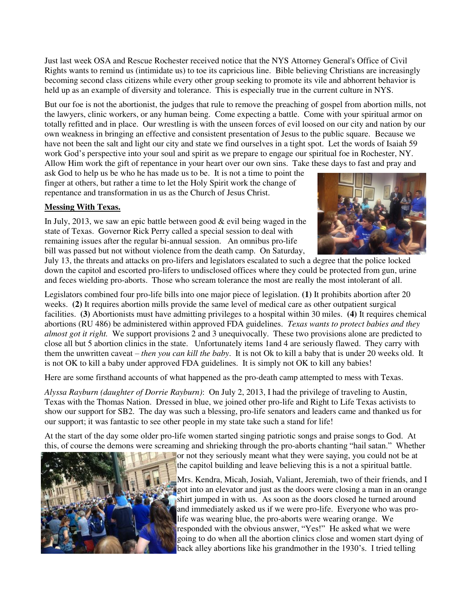Just last week OSA and Rescue Rochester received notice that the NYS Attorney General's Office of Civil Rights wants to remind us (intimidate us) to toe its capricious line. Bible believing Christians are increasingly becoming second class citizens while every other group seeking to promote its vile and abhorrent behavior is held up as an example of diversity and tolerance. This is especially true in the current culture in NYS.

But our foe is not the abortionist, the judges that rule to remove the preaching of gospel from abortion mills, not the lawyers, clinic workers, or any human being. Come expecting a battle. Come with your spiritual armor on totally refitted and in place. Our wrestling is with the unseen forces of evil loosed on our city and nation by our own weakness in bringing an effective and consistent presentation of Jesus to the public square. Because we have not been the salt and light our city and state we find ourselves in a tight spot. Let the words of Isaiah 59 work God's perspective into your soul and spirit as we prepare to engage our spiritual foe in Rochester, NY. Allow Him work the gift of repentance in your heart over our own sins. Take these days to fast and pray and

ask God to help us be who he has made us to be. It is not a time to point the finger at others, but rather a time to let the Holy Spirit work the change of repentance and transformation in us as the Church of Jesus Christ.

# **Messing With Texas.**

In July, 2013, we saw an epic battle between good  $&$  evil being waged in the state of Texas. Governor Rick Perry called a special session to deal with remaining issues after the regular bi-annual session. An omnibus pro-life bill was passed but not without violence from the death camp. On Saturday,



July 13, the threats and attacks on pro-lifers and legislators escalated to such a degree that the police locked down the capitol and escorted pro-lifers to undisclosed offices where they could be protected from gun, urine and feces wielding pro-aborts. Those who scream tolerance the most are really the most intolerant of all.

Legislators combined four pro-life bills into one major piece of legislation. **(1)** It prohibits abortion after 20 weeks. **(2)** It requires abortion mills provide the same level of medical care as other outpatient surgical facilities. **(3)** Abortionists must have admitting privileges to a hospital within 30 miles. **(4)** It requires chemical abortions (RU 486) be administered within approved FDA guidelines. *Texas wants to protect babies and they almost got it right.* We support provisions 2 and 3 unequivocally. These two provisions alone are predicted to close all but 5 abortion clinics in the state. Unfortunately items 1and 4 are seriously flawed. They carry with them the unwritten caveat – *then you can kill the baby*. It is not Ok to kill a baby that is under 20 weeks old. It is not OK to kill a baby under approved FDA guidelines. It is simply not OK to kill any babies!

Here are some firsthand accounts of what happened as the pro-death camp attempted to mess with Texas.

*Alyssa Rayburn (daughter of Dorrie Rayburn)*: On July 2, 2013, I had the privilege of traveling to Austin, Texas with the Thomas Nation. Dressed in blue, we joined other pro-life and Right to Life Texas activists to show our support for SB2. The day was such a blessing, pro-life senators and leaders came and thanked us for our support; it was fantastic to see other people in my state take such a stand for life!

At the start of the day some older pro-life women started singing patriotic songs and praise songs to God. At this, of course the demons were screaming and shrieking through the pro-aborts chanting "hail satan." Whether



or not they seriously meant what they were saying, you could not be at the capitol building and leave believing this is a not a spiritual battle.

Mrs. Kendra, Micah, Josiah, Valiant, Jeremiah, two of their friends, and I got into an elevator and just as the doors were closing a man in an orange shirt jumped in with us. As soon as the doors closed he turned around and immediately asked us if we were pro-life. Everyone who was prolife was wearing blue, the pro-aborts were wearing orange. We responded with the obvious answer, "Yes!" He asked what we were going to do when all the abortion clinics close and women start dying of back alley abortions like his grandmother in the 1930's. I tried telling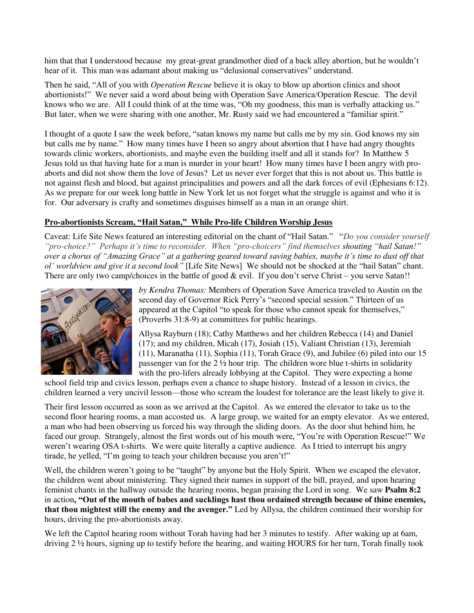him that that I understood because my great-great grandmother died of a back alley abortion, but he wouldn't hear of it. This man was adamant about making us "delusional conservatives" understand.

Then he said, "All of you with *Operation Rescue* believe it is okay to blow up abortion clinics and shoot abortionists!" We never said a word about being with Operation Save America/Operation Rescue. The devil knows who we are. All I could think of at the time was, "Oh my goodness, this man is verbally attacking us." But later, when we were sharing with one another, Mr. Rusty said we had encountered a "familiar spirit."

I thought of a quote I saw the week before, "satan knows my name but calls me by my sin. God knows my sin but calls me by name." How many times have I been so angry about abortion that I have had angry thoughts towards clinic workers, abortionists, and maybe even the building itself and all it stands for? In Matthew 5 Jesus told us that having hate for a man is murder in your heart! How many times have I been angry with proaborts and did not show them the love of Jesus? Let us never ever forget that this is not about us. This battle is not against flesh and blood, but against principalities and powers and all the dark forces of evil (Ephesians 6:12). As we prepare for our week long battle in New York let us not forget what the struggle is against and who it is for. Our adversary is crafty and sometimes disguises himself as a man in an orange shirt.

### **Pro-abortionists Scream, "Hail Satan," While Pro-life Children Worship Jesus**

Caveat: Life Site News featured an interesting editorial on the chant of "Hail Satan." "*Do you consider yourself "pro-choice?" Perhaps it's time to reconsider. When "pro-choicers" find themselves shouting "hail Satan!" over a chorus of "Amazing Grace" at a gathering geared toward saving babies, maybe it's time to dust off that ol' worldview and give it a second look"* [Life Site News]We should not be shocked at the "hail Satan" chant. There are only two camp/choices in the battle of good & evil. If you don't serve Christ – you serve Satan!!



*by Kendra Thomas:* Members of Operation Save America traveled to Austin on the second day of Governor Rick Perry's "second special session." Thirteen of us appeared at the Capitol "to speak for those who cannot speak for themselves," (Proverbs 31:8-9) at committees for public hearings.

Allysa Rayburn (18); Cathy Matthews and her children Rebecca (14) and Daniel (17); and my children, Micah (17), Josiah (15), Valiant Christian (13), Jeremiah (11), Maranatha (11), Sophia (11), Torah Grace (9), and Jubilee (6) piled into our 15 passenger van for the 2 ½ hour trip. The children wore blue t-shirts in solidarity with the pro-lifers already lobbying at the Capitol. They were expecting a home

school field trip and civics lesson, perhaps even a chance to shape history. Instead of a lesson in civics, the children learned a very uncivil lesson—those who scream the loudest for tolerance are the least likely to give it.

Their first lesson occurred as soon as we arrived at the Capitol. As we entered the elevator to take us to the second floor hearing rooms, a man accosted us. A large group, we waited for an empty elevator. As we entered, a man who had been observing us forced his way through the sliding doors. As the door shut behind him, he faced our group. Strangely, almost the first words out of his mouth were, "You're with Operation Rescue!" We weren't wearing OSA t-shirts. We were quite literally a captive audience. As I tried to interrupt his angry tirade, he yelled, "I'm going to teach your children because you aren't!"

Well, the children weren't going to be "taught" by anyone but the Holy Spirit. When we escaped the elevator, the children went about ministering. They signed their names in support of the bill, prayed, and upon hearing feminist chants in the hallway outside the hearing rooms, began praising the Lord in song. We saw **Psalm 8:2**  in action**, "Out of the mouth of babes and sucklings hast thou ordained strength because of thine enemies, that thou mightest still the enemy and the avenger."** Led by Allysa, the children continued their worship for hours, driving the pro-abortionists away.

We left the Capitol hearing room without Torah having had her 3 minutes to testify. After waking up at 6am, driving 2 ½ hours, signing up to testify before the hearing, and waiting HOURS for her turn, Torah finally took